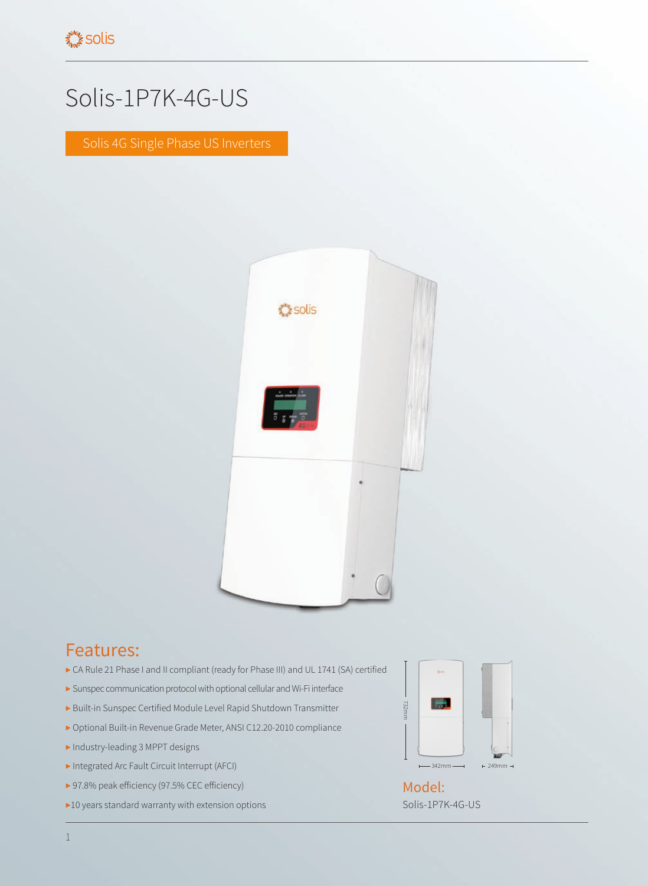## Solis-1P7K-4G-US

Solis 4G Single Phase US Inverters



## Features:

- ▶ CA Rule 21 Phase I and II compliant (ready for Phase III) and UL 1741 (SA) certified
- ▶ Sunspec communication protocol with optional cellular and Wi-Fi interface
- ▶ Built-in Sunspec Certified Module Level Rapid Shutdown Transmitter
- ▶ Optional Built-in Revenue Grade Meter, ANSI C12.20-2010 compliance
- ▶ Industry-leading 3 MPPT designs
- ▶ Integrated Arc Fault Circuit Interrupt (AFCI)
- ▶ 97.8% peak efficiency (97.5% CEC efficiency)
- ▶10 years standard warranty with extension options



Solis-1P7K-4G-US Model: